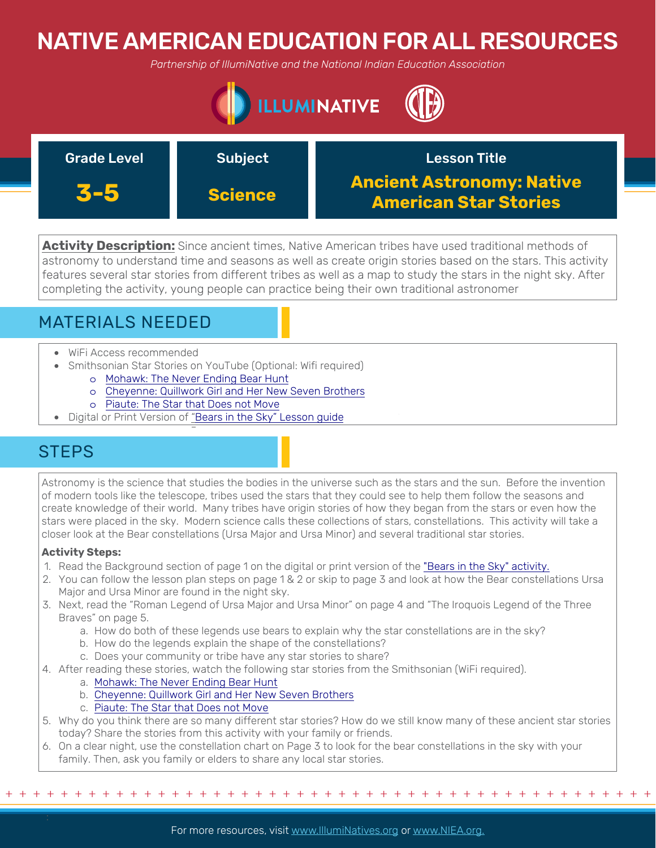# NATIVE AMERICAN EDUCATION FOR ALL RESOURCES

*Partnership of IllumiNative and the National Indian Education Association*



| <b>Grade Level</b> | <b>Subject</b> | <b>Lesson Title</b>                                              |
|--------------------|----------------|------------------------------------------------------------------|
| 3-5                | <b>Science</b> | <b>Ancient Astronomy: Native</b><br><b>American Star Stories</b> |

**Activity Description:** Since ancient times, Native American tribes have used traditional methods of astronomy to understand time and seasons as well as create origin stories based on the stars. This activity features several star stories from different tribes as well as a map to study the stars in the night sky. After completing the activity, young people can practice being their own traditional astronomer

## MATERIALS NEEDED

- WiFi Access recommended
- Smithsonian Star Stories on YouTube (Optional: Wifi required)
	- o [Mohawk: The Never Ending Bear Hunt](https://www.youtube.com/watch?v=bH2mCcivliQ)
	- o [Cheyenne: Quillwork Girl and Her New Seven Brothers](https://www.youtube.com/watch?v=5x-LtgO2avY)
	- o [Piaute: The Star that Does not Move](https://www.youtube.com/watch?v=dtBqbMfuq1I&list=PLS6nSmuURFJBLIE-4ulPJMYxOV4Zpj1WZ&index=9)
- Digital or Print Version of ["Bears in the Sky" Lesson guide](https://nieonline.com/downloads/national_wildlife/13wlw/bears_in_the_sky.pdf)

### **STEPS**

Astronomy is the science that studies the bodies in the universe such as the stars and the sun. Before the invention of modern tools like the telescope, tribes used the stars that they could see to help them follow the seasons and create knowledge of their world. Many tribes have origin stories of how they began from the stars or even how the stars were placed in the sky. Modern science calls these collections of stars, constellations. This activity will take a closer look at the Bear constellations (Ursa Major and Ursa Minor) and several traditional star stories.

### **Activity Steps:**

- 1. Read the Background section of page 1 on the digital or print version of the ["Bears in the Sky" activity.](https://nieonline.com/downloads/national_wildlife/13wlw/bears_in_the_sky.pdf)
- 2. You can follow the lesson plan steps on page 1 & 2 or skip to page 3 and look at how the Bear constellations Ursa Major and Ursa Minor are found in the night sky.
- 3. Next, read the "Roman Legend of Ursa Major and Ursa Minor" on page 4 and "The Iroquois Legend of the Three Braves" on page 5.
	- a. How do both of these legends use bears to explain why the star constellations are in the sky?
	- b. How do the legends explain the shape of the constellations?
	- c. Does your community or tribe have any star stories to share?
- 4. After reading these stories, watch the following star stories from the Smithsonian (WiFi required).
	- a. [Mohawk: The Never Ending Bear Hunt](https://www.youtube.com/watch?v=bH2mCcivliQ)
		- b. [Cheyenne: Quillwork Girl and Her New Seven Brothers](https://www.youtube.com/watch?v=5x-LtgO2avY)
		- c. [Piaute: The Star that Does not Move](https://www.youtube.com/watch?v=dtBqbMfuq1I&t=41s)
- 5. Why do you think there are so many different star stories? How do we still know many of these ancient star stories today? Share the stories from this activity with your family or friends.
- 6. On a clear night, use the constellation chart on Page 3 to look for the bear constellations in the sky with your family. Then, ask you family or elders to share any local star stories.

+ + + + + + + + + + + + + + + + + + + + + + + + + + + + + + + + + + + + + + + + + + + + + + + +

For more resources, visit www.lllumiNatives.org or www.NIEA.org.